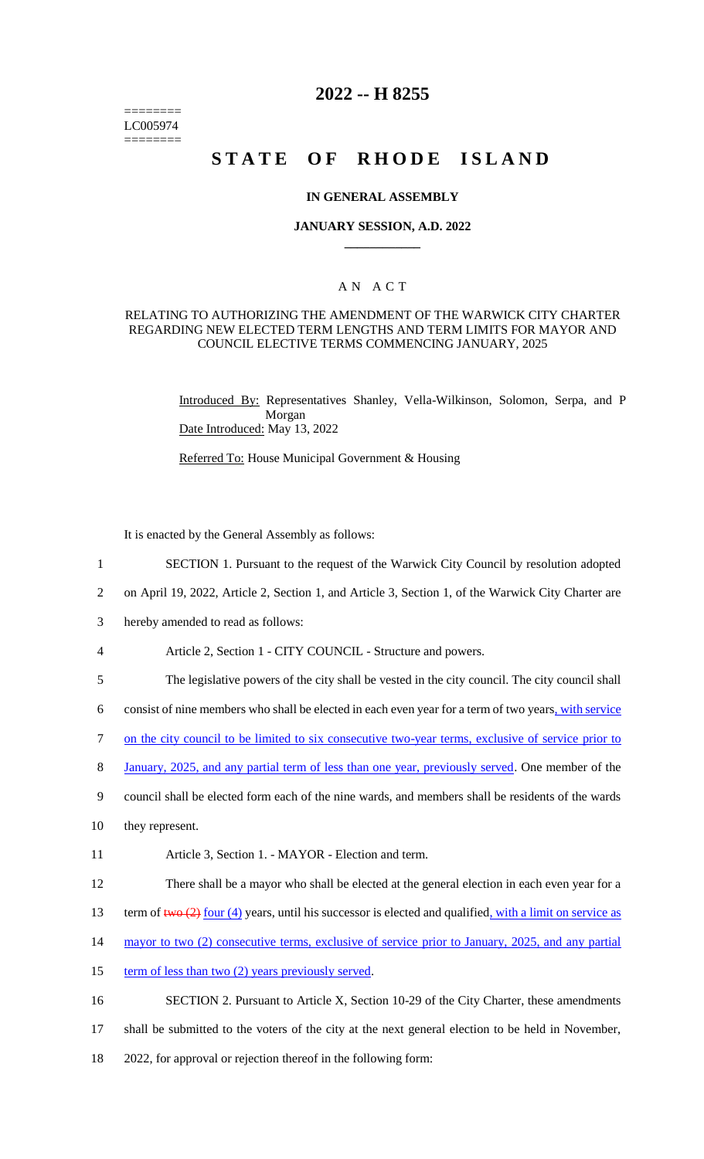======== LC005974 ========

# **2022 -- H 8255**

# **STATE OF RHODE ISLAND**

#### **IN GENERAL ASSEMBLY**

#### **JANUARY SESSION, A.D. 2022 \_\_\_\_\_\_\_\_\_\_\_\_**

## A N A C T

#### RELATING TO AUTHORIZING THE AMENDMENT OF THE WARWICK CITY CHARTER REGARDING NEW ELECTED TERM LENGTHS AND TERM LIMITS FOR MAYOR AND COUNCIL ELECTIVE TERMS COMMENCING JANUARY, 2025

Introduced By: Representatives Shanley, Vella-Wilkinson, Solomon, Serpa, and P Morgan Date Introduced: May 13, 2022

Referred To: House Municipal Government & Housing

It is enacted by the General Assembly as follows:

- 1 SECTION 1. Pursuant to the request of the Warwick City Council by resolution adopted
- 2 on April 19, 2022, Article 2, Section 1, and Article 3, Section 1, of the Warwick City Charter are
- 3 hereby amended to read as follows:
- 4 Article 2, Section 1 CITY COUNCIL Structure and powers.
- 5 The legislative powers of the city shall be vested in the city council. The city council shall

6 consist of nine members who shall be elected in each even year for a term of two years, with service

- 7 on the city council to be limited to six consecutive two-year terms, exclusive of service prior to
- 8 January, 2025, and any partial term of less than one year, previously served. One member of the
- 9 council shall be elected form each of the nine wards, and members shall be residents of the wards
- 10 they represent.
- 11 Article 3, Section 1. MAYOR Election and term.
- 12 There shall be a mayor who shall be elected at the general election in each even year for a
- 13 term of  $t_{w0}$  (2) four (4) years, until his successor is elected and qualified, with a limit on service as
- 14 mayor to two (2) consecutive terms, exclusive of service prior to January, 2025, and any partial
- 15 term of less than two (2) years previously served.

16 SECTION 2. Pursuant to Article X, Section 10-29 of the City Charter, these amendments

- 17 shall be submitted to the voters of the city at the next general election to be held in November,
- 18 2022, for approval or rejection thereof in the following form: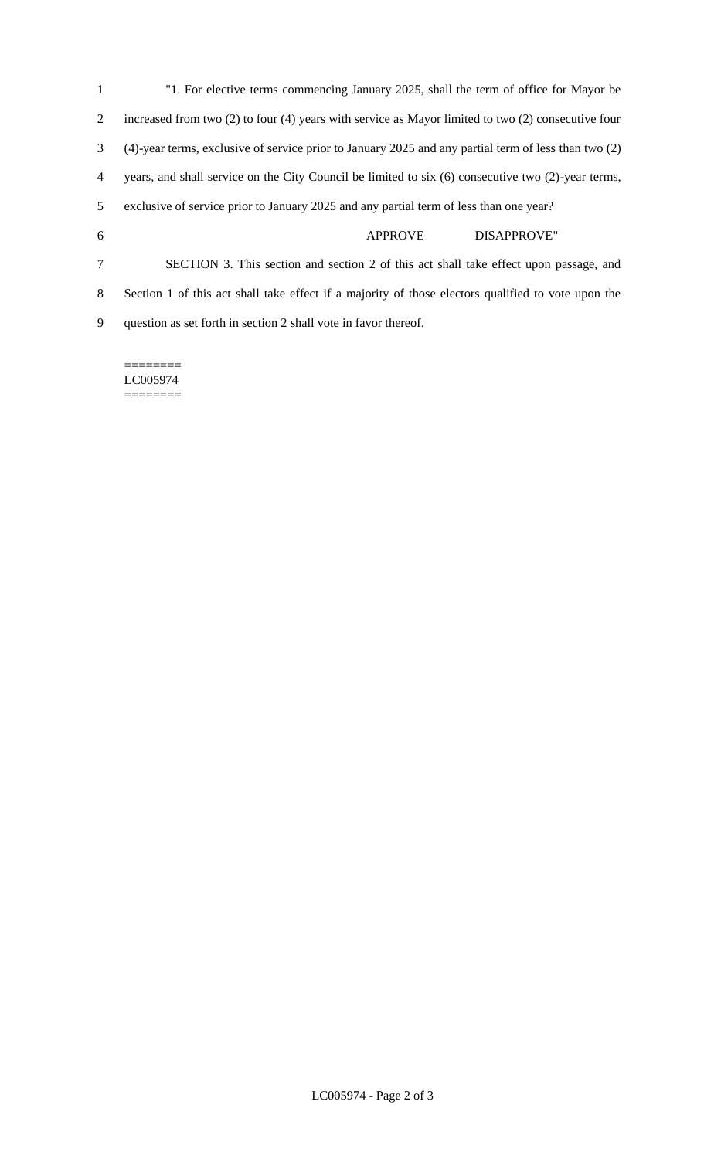| 1              | "1. For elective terms commencing January 2025, shall the term of office for Mayor be                    |
|----------------|----------------------------------------------------------------------------------------------------------|
| 2              | increased from two $(2)$ to four $(4)$ years with service as Mayor limited to two $(2)$ consecutive four |
| 3              | (4)-year terms, exclusive of service prior to January 2025 and any partial term of less than two (2)     |
| $\overline{4}$ | years, and shall service on the City Council be limited to six (6) consecutive two (2)-year terms,       |
| 5 <sup>5</sup> | exclusive of service prior to January 2025 and any partial term of less than one year?                   |
| 6              | <b>DISAPPROVE"</b><br><b>APPROVE</b>                                                                     |
| 7              | SECTION 3. This section and section 2 of this act shall take effect upon passage, and                    |
| 8              | Section 1 of this act shall take effect if a majority of those electors qualified to vote upon the       |
| 9              | question as set forth in section 2 shall vote in favor thereof.                                          |

======== LC005974  $=$